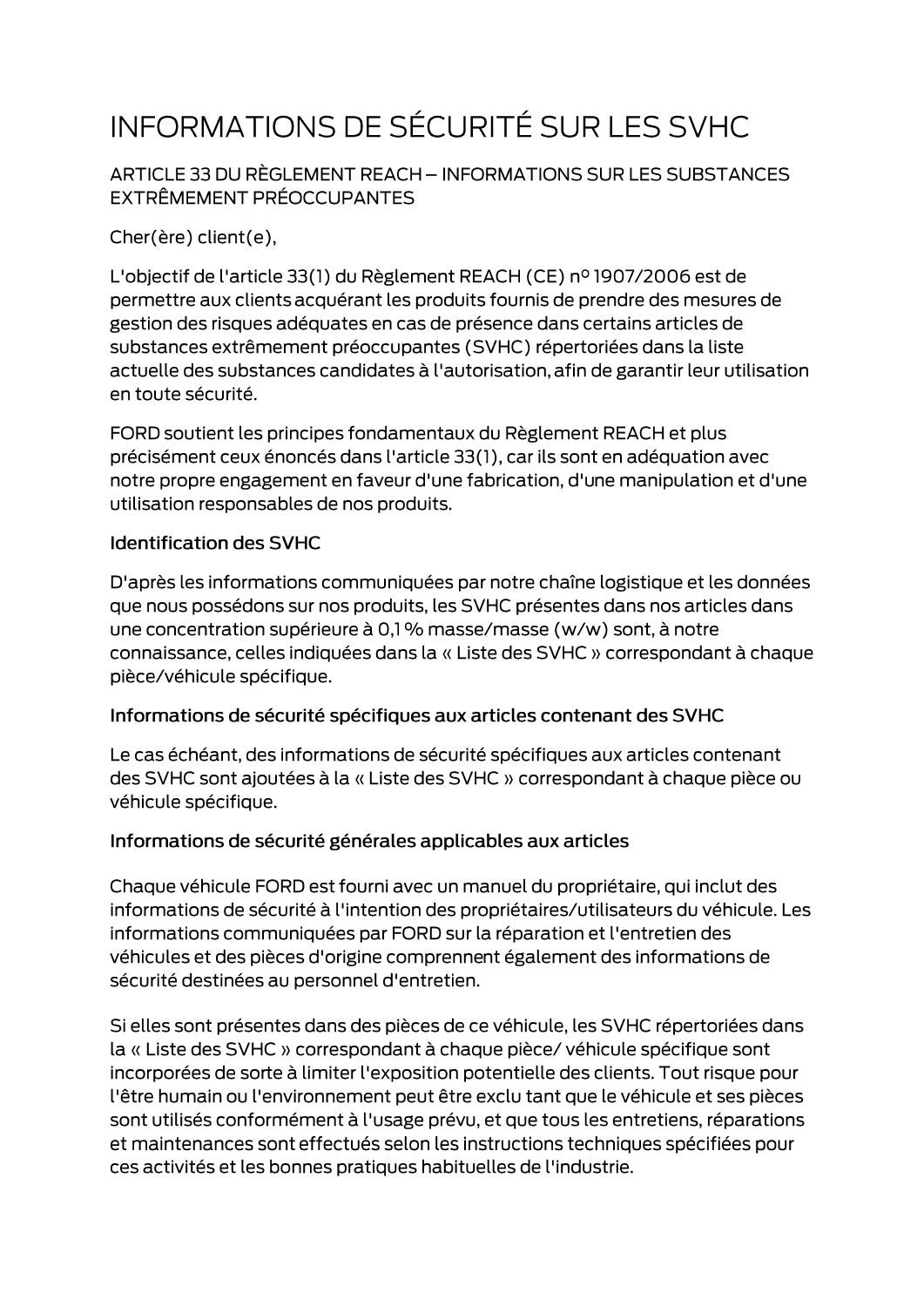# INFORMATIONS DE SÉCURITÉ SUR LES SVHC

ARTICLE 33 DU RÈGLEMENT REACH - INFORMATIONS SUR LES SUBSTANCES EXTRÊMEMENT PRÉOCCUPANTES

Cher(ère) client(e),

L'objectif de l'article 33(1) du Règlement REACH (CE) nº 1907/2006 est de permettre aux clients acquérant les produits fournis de prendre des mesures de gestion des risques adéquates en cas de présence dans certains articles de substances extrêmement préoccupantes (SVHC) répertoriées dans la liste actuelle des substances candidates à l'autorisation, afin de garantir leur utilisation en toute sécurité.

FORD soutient les principes fondamentaux du Règlement REACH et plus précisément ceux énoncés dans l'article 33(1), car ils sont en adéquation avec notre propre engagement en faveur d'une fabrication, d'une manipulation et d'une utilisation responsables de nos produits.

#### **Identification des SVHC**

D'après les informations communiquées par notre chaîne logistique et les données que nous possédons sur nos produits, les SVHC présentes dans nos articles dans une concentration supérieure à 0,1 % masse/masse (w/w) sont, à notre connaissance, celles indiquées dans la « Liste des SVHC » correspondant à chaque pièce/véhicule spécifique.

#### Informations de sécurité spécifiques aux articles contenant des SVHC

Le cas échéant, des informations de sécurité spécifiques aux articles contenant des SVHC sont ajoutées à la « Liste des SVHC » correspondant à chaque pièce ou véhicule spécifique.

#### Informations de sécurité générales applicables aux articles

Chaque véhicule FORD est fourni avec un manuel du propriétaire, qui inclut des informations de sécurité à l'intention des propriétaires/utilisateurs du véhicule. Les informations communiquées par FORD sur la réparation et l'entretien des véhicules et des pièces d'origine comprennent également des informations de sécurité destinées au personnel d'entretien.

Si elles sont présentes dans des pièces de ce véhicule, les SVHC répertoriées dans la « Liste des SVHC » correspondant à chaque pièce/ véhicule spécifique sont incorporées de sorte à limiter l'exposition potentielle des clients. Tout risque pour l'être humain ou l'environnement peut être exclu tant que le véhicule et ses pièces sont utilisés conformément à l'usage prévu, et que tous les entretiens, réparations et maintenances sont effectués selon les instructions techniques spécifiées pour ces activités et les bonnes pratiques habituelles de l'industrie.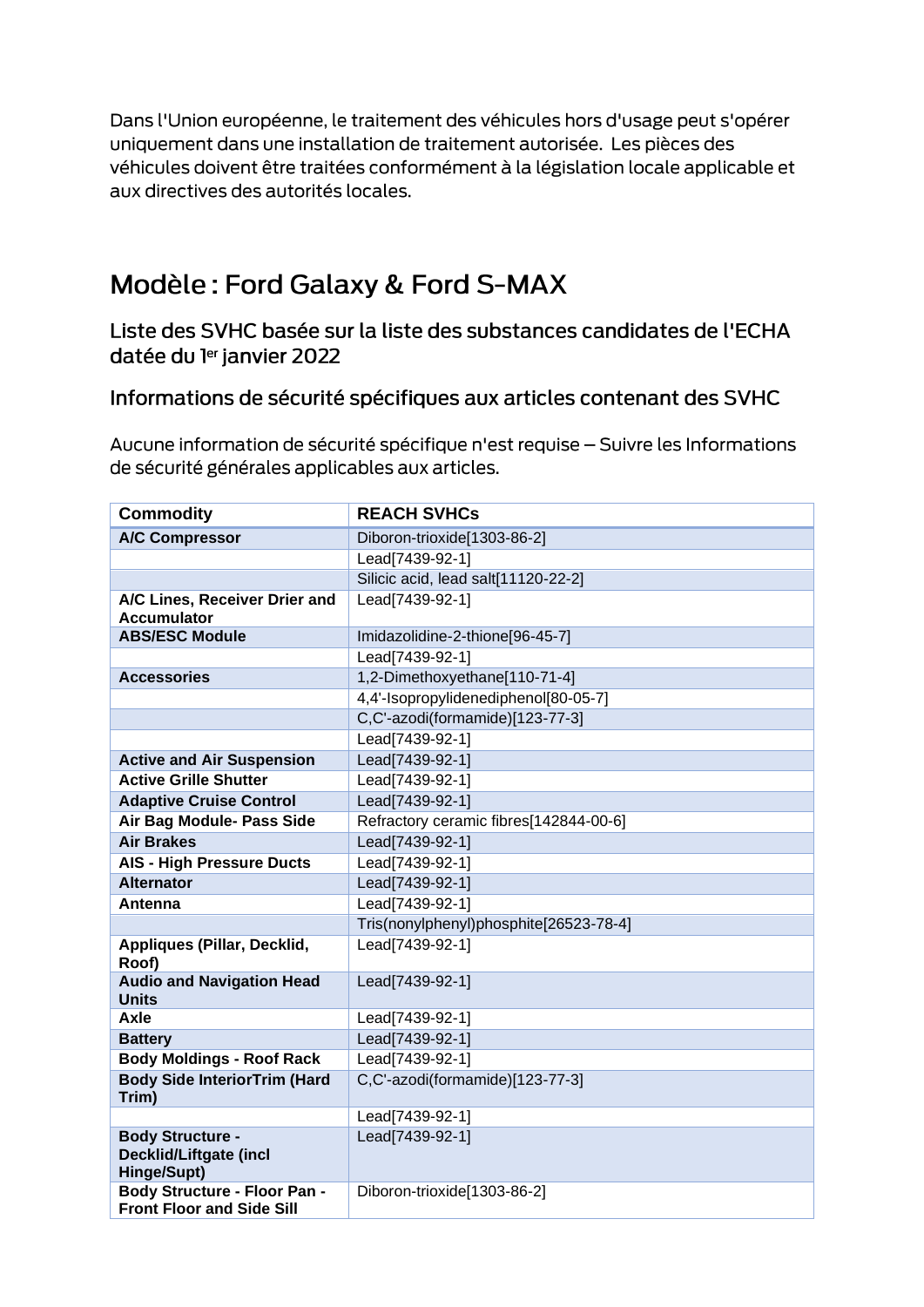Dans l'Union européenne, le traitement des véhicules hors d'usage peut s'opérer uniquement dans une installation de traitement autorisée. Les pièces des véhicules doivent être traitées conformément à la législation locale applicable et aux directives des autorités locales.

## Modèle: Ford Galaxy & Ford S-MAX

Liste des SVHC basée sur la liste des substances candidates de l'ECHA datée du ler janvier 2022

### Informations de sécurité spécifiques aux articles contenant des SVHC

Aucune information de sécurité spécifique n'est requise - Suivre les Informations de sécurité générales applicables aux articles.

| <b>Commodity</b>                                                        | <b>REACH SVHCs</b>                     |
|-------------------------------------------------------------------------|----------------------------------------|
| <b>A/C Compressor</b>                                                   | Diboron-trioxide[1303-86-2]            |
|                                                                         | Lead[7439-92-1]                        |
|                                                                         | Silicic acid, lead salt[11120-22-2]    |
| A/C Lines, Receiver Drier and<br><b>Accumulator</b>                     | Lead[7439-92-1]                        |
| <b>ABS/ESC Module</b>                                                   | Imidazolidine-2-thione[96-45-7]        |
|                                                                         | Lead[7439-92-1]                        |
| <b>Accessories</b>                                                      | 1,2-Dimethoxyethane[110-71-4]          |
|                                                                         | 4,4'-Isopropylidenediphenol[80-05-7]   |
|                                                                         | C,C'-azodi(formamide)[123-77-3]        |
|                                                                         | Lead[7439-92-1]                        |
| <b>Active and Air Suspension</b>                                        | Lead[7439-92-1]                        |
| <b>Active Grille Shutter</b>                                            | Lead[7439-92-1]                        |
| <b>Adaptive Cruise Control</b>                                          | Lead[7439-92-1]                        |
| Air Bag Module- Pass Side                                               | Refractory ceramic fibres[142844-00-6] |
| <b>Air Brakes</b>                                                       | Lead[7439-92-1]                        |
| <b>AIS - High Pressure Ducts</b>                                        | Lead[7439-92-1]                        |
| <b>Alternator</b>                                                       | Lead[7439-92-1]                        |
| Antenna                                                                 | Lead[7439-92-1]                        |
|                                                                         | Tris(nonylphenyl)phosphite[26523-78-4] |
| Appliques (Pillar, Decklid,<br>Roof)                                    | Lead[7439-92-1]                        |
| <b>Audio and Navigation Head</b><br><b>Units</b>                        | Lead[7439-92-1]                        |
| <b>Axle</b>                                                             | Lead[7439-92-1]                        |
| <b>Battery</b>                                                          | Lead[7439-92-1]                        |
| <b>Body Moldings - Roof Rack</b>                                        | Lead[7439-92-1]                        |
| <b>Body Side InteriorTrim (Hard</b><br>Trim)                            | C,C'-azodi(formamide)[123-77-3]        |
|                                                                         | Lead[7439-92-1]                        |
| <b>Body Structure -</b><br><b>Decklid/Liftgate (incl</b><br>Hinge/Supt) | Lead[7439-92-1]                        |
| <b>Body Structure - Floor Pan -</b><br><b>Front Floor and Side Sill</b> | Diboron-trioxide[1303-86-2]            |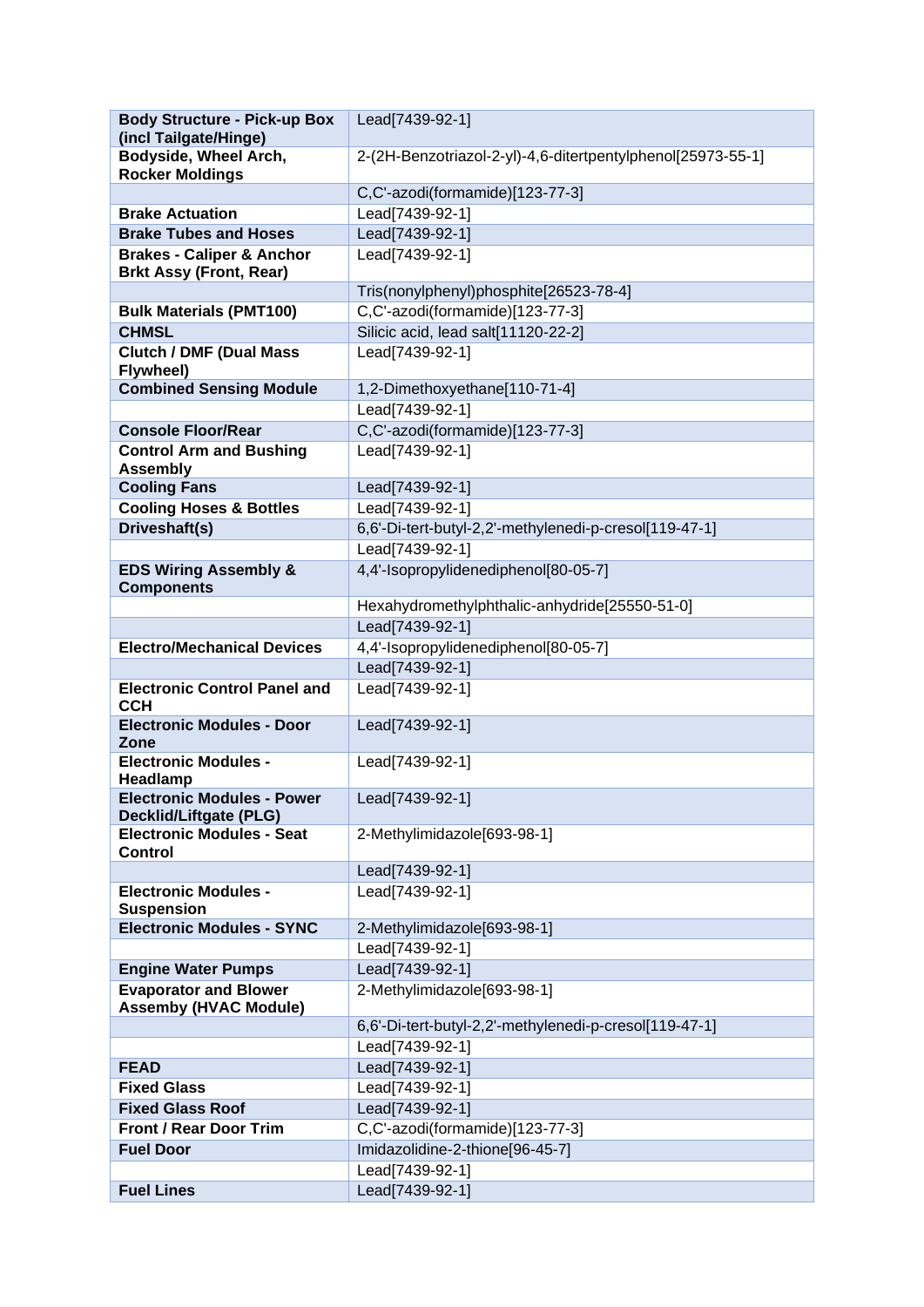| <b>Body Structure - Pick-up Box</b><br>(incl Tailgate/Hinge)           | Lead[7439-92-1]                                             |
|------------------------------------------------------------------------|-------------------------------------------------------------|
| Bodyside, Wheel Arch,                                                  | 2-(2H-Benzotriazol-2-yl)-4,6-ditertpentylphenol[25973-55-1] |
| <b>Rocker Moldings</b>                                                 |                                                             |
|                                                                        | C,C'-azodi(formamide)[123-77-3]                             |
| <b>Brake Actuation</b>                                                 | Lead[7439-92-1]                                             |
| <b>Brake Tubes and Hoses</b>                                           | Lead[7439-92-1]                                             |
| <b>Brakes - Caliper &amp; Anchor</b><br><b>Brkt Assy (Front, Rear)</b> | Lead[7439-92-1]                                             |
|                                                                        | Tris(nonylphenyl)phosphite[26523-78-4]                      |
| <b>Bulk Materials (PMT100)</b>                                         | C,C'-azodi(formamide)[123-77-3]                             |
| <b>CHMSL</b>                                                           | Silicic acid, lead salt[11120-22-2]                         |
| <b>Clutch / DMF (Dual Mass)</b>                                        | Lead[7439-92-1]                                             |
| Flywheel)                                                              |                                                             |
| <b>Combined Sensing Module</b>                                         | 1,2-Dimethoxyethane[110-71-4]                               |
|                                                                        | Lead[7439-92-1]                                             |
| <b>Console Floor/Rear</b>                                              | C,C'-azodi(formamide)[123-77-3]                             |
| <b>Control Arm and Bushing</b><br><b>Assembly</b>                      | Lead[7439-92-1]                                             |
| <b>Cooling Fans</b>                                                    | Lead[7439-92-1]                                             |
| <b>Cooling Hoses &amp; Bottles</b>                                     | Lead[7439-92-1]                                             |
| Driveshaft(s)                                                          | 6,6'-Di-tert-butyl-2,2'-methylenedi-p-cresol[119-47-1]      |
|                                                                        | Lead[7439-92-1]                                             |
| <b>EDS Wiring Assembly &amp;</b><br><b>Components</b>                  | 4,4'-Isopropylidenediphenol[80-05-7]                        |
|                                                                        | Hexahydromethylphthalic-anhydride[25550-51-0]               |
|                                                                        | Lead[7439-92-1]                                             |
| <b>Electro/Mechanical Devices</b>                                      | 4,4'-Isopropylidenediphenol[80-05-7]                        |
|                                                                        | Lead[7439-92-1]                                             |
| <b>Electronic Control Panel and</b><br><b>CCH</b>                      | Lead[7439-92-1]                                             |
| <b>Electronic Modules - Door</b><br>Zone                               | Lead[7439-92-1]                                             |
| <b>Electronic Modules -</b><br>Headlamp                                | Lead[7439-92-1]                                             |
| <b>Electronic Modules - Power</b><br>Decklid/Liftgate (PLG)            | Lead[7439-92-1]                                             |
| <b>Electronic Modules - Seat</b>                                       | 2-Methylimidazole[693-98-1]                                 |
| <b>Control</b>                                                         |                                                             |
|                                                                        | Lead[7439-92-1]                                             |
| <b>Electronic Modules -</b><br><b>Suspension</b>                       | Lead[7439-92-1]                                             |
| <b>Electronic Modules - SYNC</b>                                       | 2-Methylimidazole[693-98-1]                                 |
|                                                                        | Lead[7439-92-1]                                             |
| <b>Engine Water Pumps</b>                                              | Lead[7439-92-1]                                             |
| <b>Evaporator and Blower</b>                                           | 2-Methylimidazole[693-98-1]                                 |
| <b>Assemby (HVAC Module)</b>                                           |                                                             |
|                                                                        | 6,6'-Di-tert-butyl-2,2'-methylenedi-p-cresol[119-47-1]      |
|                                                                        | Lead[7439-92-1]                                             |
| <b>FEAD</b>                                                            | Lead[7439-92-1]                                             |
| <b>Fixed Glass</b>                                                     | Lead[7439-92-1]                                             |
| <b>Fixed Glass Roof</b>                                                | Lead[7439-92-1]                                             |
| <b>Front / Rear Door Trim</b>                                          | C,C'-azodi(formamide)[123-77-3]                             |
| <b>Fuel Door</b>                                                       | Imidazolidine-2-thione[96-45-7]                             |
|                                                                        | Lead[7439-92-1]                                             |
| <b>Fuel Lines</b>                                                      | Lead[7439-92-1]                                             |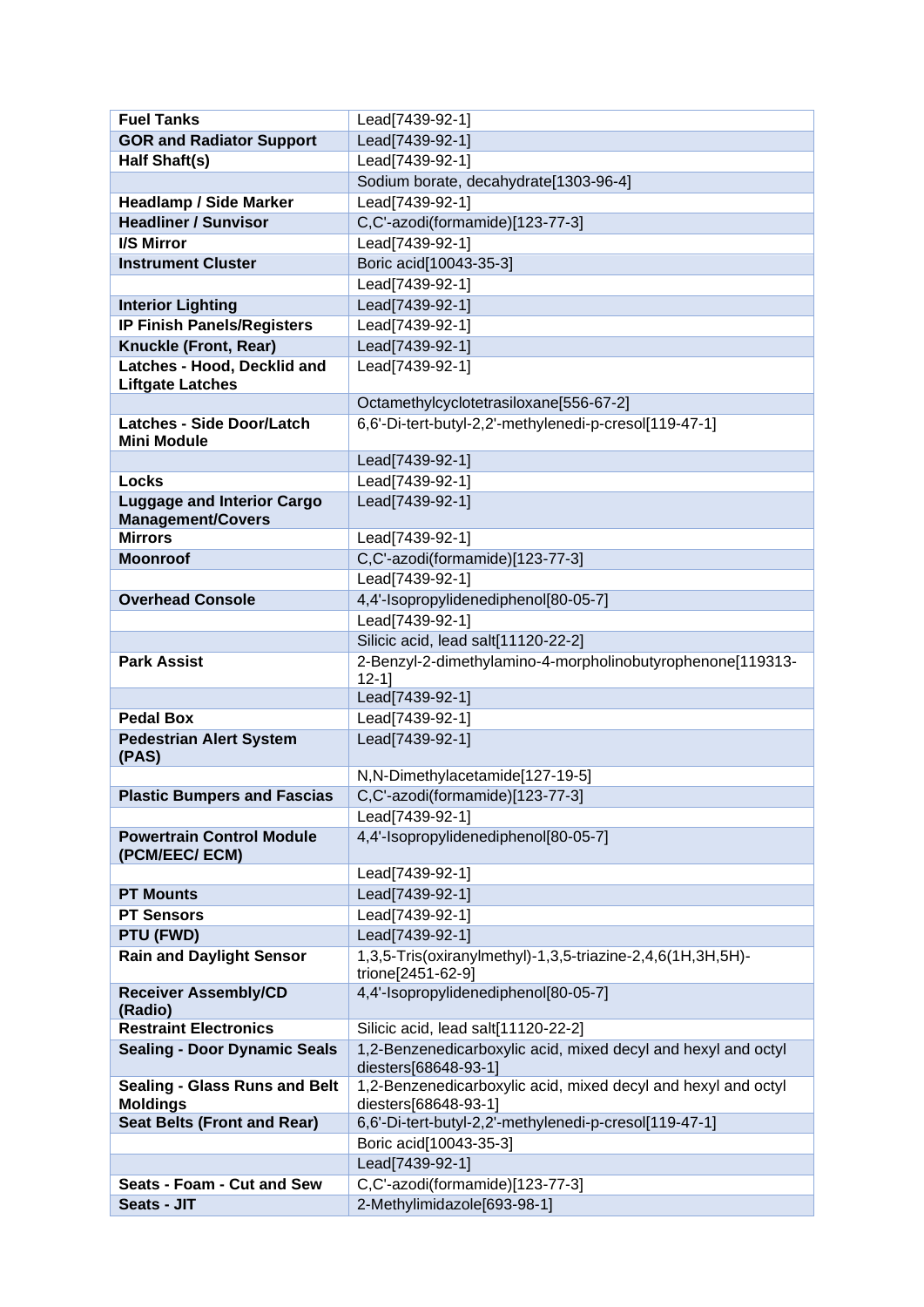| <b>Fuel Tanks</b>                                             | Lead[7439-92-1]                                                                       |
|---------------------------------------------------------------|---------------------------------------------------------------------------------------|
| <b>GOR and Radiator Support</b>                               | Lead[7439-92-1]                                                                       |
| Half Shaft(s)                                                 | Lead[7439-92-1]                                                                       |
|                                                               | Sodium borate, decahydrate[1303-96-4]                                                 |
| <b>Headlamp / Side Marker</b>                                 | Lead[7439-92-1]                                                                       |
| <b>Headliner / Sunvisor</b>                                   | C,C'-azodi(formamide)[123-77-3]                                                       |
| <b>I/S Mirror</b>                                             | Lead[7439-92-1]                                                                       |
| <b>Instrument Cluster</b>                                     | Boric acid[10043-35-3]                                                                |
|                                                               | Lead[7439-92-1]                                                                       |
| <b>Interior Lighting</b>                                      | Lead[7439-92-1]                                                                       |
| <b>IP Finish Panels/Registers</b>                             | Lead[7439-92-1]                                                                       |
| Knuckle (Front, Rear)                                         | Lead[7439-92-1]                                                                       |
| Latches - Hood, Decklid and                                   | Lead[7439-92-1]                                                                       |
| <b>Liftgate Latches</b>                                       |                                                                                       |
|                                                               | Octamethylcyclotetrasiloxane[556-67-2]                                                |
| <b>Latches - Side Door/Latch</b>                              | 6,6'-Di-tert-butyl-2,2'-methylenedi-p-cresol[119-47-1]                                |
| <b>Mini Module</b>                                            | Lead[7439-92-1]                                                                       |
|                                                               |                                                                                       |
| Locks                                                         | Lead[7439-92-1]                                                                       |
| <b>Luggage and Interior Cargo</b><br><b>Management/Covers</b> | Lead[7439-92-1]                                                                       |
| <b>Mirrors</b>                                                | Lead[7439-92-1]                                                                       |
| <b>Moonroof</b>                                               | C,C'-azodi(formamide)[123-77-3]                                                       |
|                                                               | Lead[7439-92-1]                                                                       |
| <b>Overhead Console</b>                                       | 4,4'-Isopropylidenediphenol[80-05-7]                                                  |
|                                                               | Lead[7439-92-1]                                                                       |
|                                                               | Silicic acid, lead salt[11120-22-2]                                                   |
| <b>Park Assist</b>                                            | 2-Benzyl-2-dimethylamino-4-morpholinobutyrophenone[119313-                            |
|                                                               | $12 - 1$                                                                              |
|                                                               | Lead[7439-92-1]                                                                       |
| <b>Pedal Box</b>                                              | Lead[7439-92-1]                                                                       |
| <b>Pedestrian Alert System</b>                                | Lead[7439-92-1]                                                                       |
| (PAS)                                                         |                                                                                       |
|                                                               | N,N-Dimethylacetamide[127-19-5]                                                       |
| <b>Plastic Bumpers and Fascias</b>                            | C,C'-azodi(formamide)[123-77-3]                                                       |
|                                                               | Lead[7439-92-1]                                                                       |
| <b>Powertrain Control Module</b>                              | 4,4'-Isopropylidenediphenol[80-05-7]                                                  |
| (PCM/EEC/ECM)                                                 | Lead[7439-92-1]                                                                       |
| <b>PT Mounts</b>                                              | Lead[7439-92-1]                                                                       |
| <b>PT Sensors</b>                                             | Lead[7439-92-1]                                                                       |
| PTU (FWD)                                                     | Lead[7439-92-1]                                                                       |
| <b>Rain and Daylight Sensor</b>                               | 1,3,5-Tris(oxiranylmethyl)-1,3,5-triazine-2,4,6(1H,3H,5H)-                            |
|                                                               | trione[2451-62-9]                                                                     |
| <b>Receiver Assembly/CD</b><br>(Radio)                        | 4,4'-Isopropylidenediphenol[80-05-7]                                                  |
| <b>Restraint Electronics</b>                                  | Silicic acid, lead salt[11120-22-2]                                                   |
| <b>Sealing - Door Dynamic Seals</b>                           | 1,2-Benzenedicarboxylic acid, mixed decyl and hexyl and octyl<br>diesters[68648-93-1] |
| <b>Sealing - Glass Runs and Belt</b><br><b>Moldings</b>       | 1,2-Benzenedicarboxylic acid, mixed decyl and hexyl and octyl<br>diesters[68648-93-1] |
| <b>Seat Belts (Front and Rear)</b>                            | 6,6'-Di-tert-butyl-2,2'-methylenedi-p-cresol[119-47-1]                                |
|                                                               | Boric acid[10043-35-3]                                                                |
|                                                               | Lead[7439-92-1]                                                                       |
| Seats - Foam - Cut and Sew                                    | C,C'-azodi(formamide)[123-77-3]                                                       |
| Seats - JIT                                                   | 2-Methylimidazole[693-98-1]                                                           |